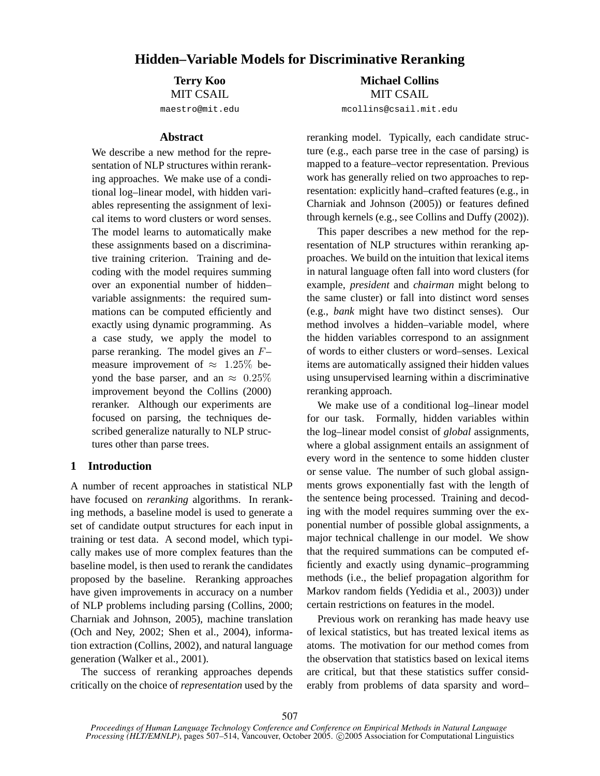# **Hidden–Variable Models for Discriminative Reranking**

**Terry Koo** MIT CSAIL maestro@mit.edu

#### **Abstract**

We describe a new method for the representation of NLP structures within reranking approaches. We make use of a conditional log–linear model, with hidden variables representing the assignment of lexical items to word clusters or word senses. The model learns to automatically make these assignments based on a discriminative training criterion. Training and decoding with the model requires summing over an exponential number of hidden– variable assignments: the required summations can be computed efficiently and exactly using dynamic programming. As a case study, we apply the model to parse reranking. The model gives an F– measure improvement of  $\approx 1.25\%$  beyond the base parser, and an  $\approx 0.25\%$ improvement beyond the Collins (2000) reranker. Although our experiments are focused on parsing, the techniques described generalize naturally to NLP structures other than parse trees.

### **1 Introduction**

A number of recent approaches in statistical NLP have focused on *reranking* algorithms. In reranking methods, a baseline model is used to generate a set of candidate output structures for each input in training or test data. A second model, which typically makes use of more complex features than the baseline model, is then used to rerank the candidates proposed by the baseline. Reranking approaches have given improvements in accuracy on a number of NLP problems including parsing (Collins, 2000; Charniak and Johnson, 2005), machine translation (Och and Ney, 2002; Shen et al., 2004), information extraction (Collins, 2002), and natural language generation (Walker et al., 2001).

The success of reranking approaches depends critically on the choice of *representation* used by the

**Michael Collins** MIT CSAIL mcollins@csail.mit.edu

reranking model. Typically, each candidate structure (e.g., each parse tree in the case of parsing) is mapped to a feature–vector representation. Previous work has generally relied on two approaches to representation: explicitly hand–crafted features (e.g., in Charniak and Johnson (2005)) or features defined through kernels (e.g., see Collins and Duffy (2002)).

This paper describes a new method for the representation of NLP structures within reranking approaches. We build on the intuition that lexical items in natural language often fall into word clusters (for example, *president* and *chairman* might belong to the same cluster) or fall into distinct word senses (e.g., *bank* might have two distinct senses). Our method involves a hidden–variable model, where the hidden variables correspond to an assignment of words to either clusters or word–senses. Lexical items are automatically assigned their hidden values using unsupervised learning within a discriminative reranking approach.

We make use of a conditional log–linear model for our task. Formally, hidden variables within the log–linear model consist of *global* assignments, where a global assignment entails an assignment of every word in the sentence to some hidden cluster or sense value. The number of such global assignments grows exponentially fast with the length of the sentence being processed. Training and decoding with the model requires summing over the exponential number of possible global assignments, a major technical challenge in our model. We show that the required summations can be computed efficiently and exactly using dynamic–programming methods (i.e., the belief propagation algorithm for Markov random fields (Yedidia et al., 2003)) under certain restrictions on features in the model.

Previous work on reranking has made heavy use of lexical statistics, but has treated lexical items as atoms. The motivation for our method comes from the observation that statistics based on lexical items are critical, but that these statistics suffer considerably from problems of data sparsity and word–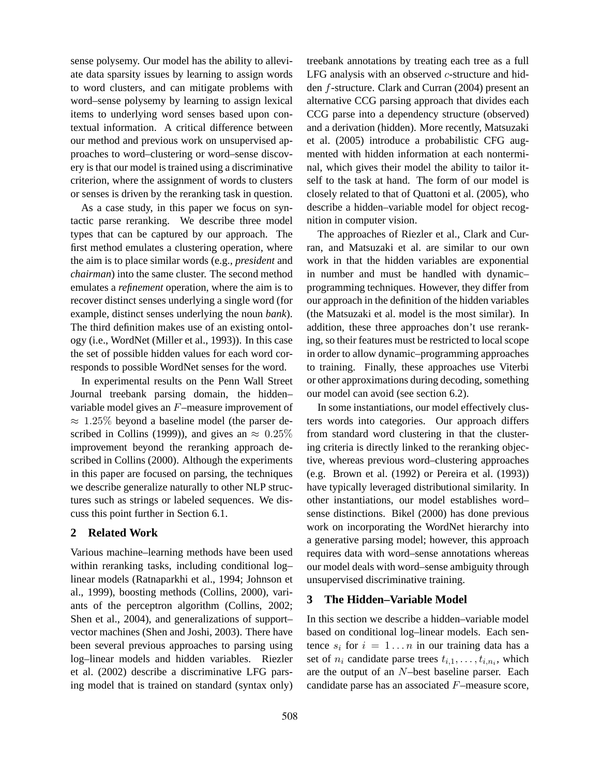sense polysemy. Our model has the ability to alleviate data sparsity issues by learning to assign words to word clusters, and can mitigate problems with word–sense polysemy by learning to assign lexical items to underlying word senses based upon contextual information. A critical difference between our method and previous work on unsupervised approaches to word–clustering or word–sense discovery is that our model is trained using a discriminative criterion, where the assignment of words to clusters or senses is driven by the reranking task in question.

As a case study, in this paper we focus on syntactic parse reranking. We describe three model types that can be captured by our approach. The first method emulates a clustering operation, where the aim is to place similar words (e.g., *president* and *chairman*) into the same cluster. The second method emulates a *refinement* operation, where the aim is to recover distinct senses underlying a single word (for example, distinct senses underlying the noun *bank*). The third definition makes use of an existing ontology (i.e., WordNet (Miller et al., 1993)). In this case the set of possible hidden values for each word corresponds to possible WordNet senses for the word.

In experimental results on the Penn Wall Street Journal treebank parsing domain, the hidden– variable model gives an F–measure improvement of  $\approx 1.25\%$  beyond a baseline model (the parser described in Collins (1999)), and gives an  $\approx 0.25\%$ improvement beyond the reranking approach described in Collins (2000). Although the experiments in this paper are focused on parsing, the techniques we describe generalize naturally to other NLP structures such as strings or labeled sequences. We discuss this point further in Section 6.1.

## **2 Related Work**

Various machine–learning methods have been used within reranking tasks, including conditional log– linear models (Ratnaparkhi et al., 1994; Johnson et al., 1999), boosting methods (Collins, 2000), variants of the perceptron algorithm (Collins, 2002; Shen et al., 2004), and generalizations of support– vector machines (Shen and Joshi, 2003). There have been several previous approaches to parsing using log–linear models and hidden variables. Riezler et al. (2002) describe a discriminative LFG parsing model that is trained on standard (syntax only) treebank annotations by treating each tree as a full LFG analysis with an observed c-structure and hidden f-structure. Clark and Curran (2004) present an alternative CCG parsing approach that divides each CCG parse into a dependency structure (observed) and a derivation (hidden). More recently, Matsuzaki et al. (2005) introduce a probabilistic CFG augmented with hidden information at each nonterminal, which gives their model the ability to tailor itself to the task at hand. The form of our model is closely related to that of Quattoni et al. (2005), who describe a hidden–variable model for object recognition in computer vision.

The approaches of Riezler et al., Clark and Curran, and Matsuzaki et al. are similar to our own work in that the hidden variables are exponential in number and must be handled with dynamic– programming techniques. However, they differ from our approach in the definition of the hidden variables (the Matsuzaki et al. model is the most similar). In addition, these three approaches don't use reranking, so their features must be restricted to local scope in order to allow dynamic–programming approaches to training. Finally, these approaches use Viterbi or other approximations during decoding, something our model can avoid (see section 6.2).

In some instantiations, our model effectively clusters words into categories. Our approach differs from standard word clustering in that the clustering criteria is directly linked to the reranking objective, whereas previous word–clustering approaches (e.g. Brown et al. (1992) or Pereira et al. (1993)) have typically leveraged distributional similarity. In other instantiations, our model establishes word– sense distinctions. Bikel (2000) has done previous work on incorporating the WordNet hierarchy into a generative parsing model; however, this approach requires data with word–sense annotations whereas our model deals with word–sense ambiguity through unsupervised discriminative training.

### **3 The Hidden–Variable Model**

In this section we describe a hidden–variable model based on conditional log–linear models. Each sentence  $s_i$  for  $i = 1...n$  in our training data has a set of  $n_i$  candidate parse trees  $t_{i,1}, \ldots, t_{i,n_i}$ , which are the output of an N–best baseline parser. Each candidate parse has an associated F–measure score,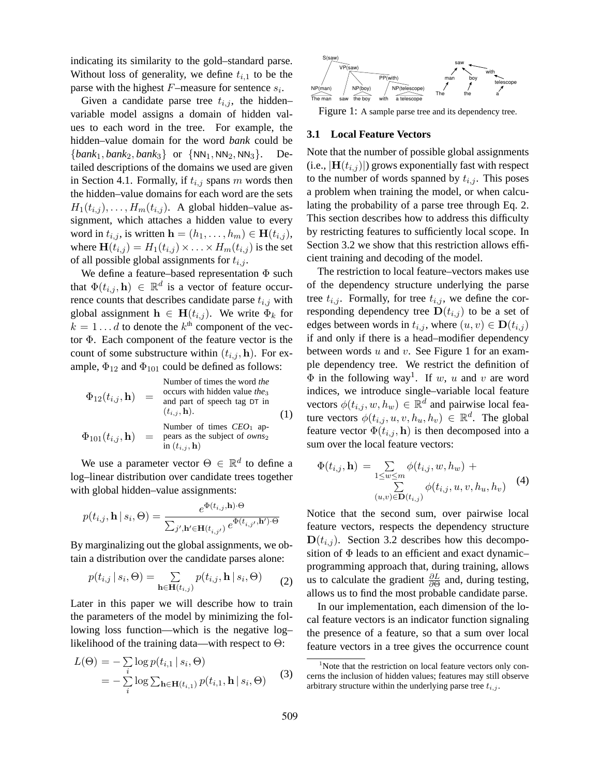indicating its similarity to the gold–standard parse. Without loss of generality, we define  $t_{i,1}$  to be the parse with the highest  $F$ -measure for sentence  $s_i$ .

Given a candidate parse tree  $t_{i,j}$ , the hidden– variable model assigns a domain of hidden values to each word in the tree. For example, the hidden–value domain for the word *bank* could be  ${\{bank_1, bank_2, bank_3\}}$  or  ${\{NN_1, NN_2, NN_3\}}$ . Detailed descriptions of the domains we used are given in Section 4.1. Formally, if  $t_{i,j}$  spans m words then the hidden–value domains for each word are the sets  $H_1(t_{i,j}), \ldots, H_m(t_{i,j}).$  A global hidden–value assignment, which attaches a hidden value to every word in  $t_{i,j}$ , is written  $\mathbf{h} = (h_1, \ldots, h_m) \in \mathbf{H}(t_{i,j}),$ where  $\mathbf{H}(t_{i,j}) = H_1(t_{i,j}) \times \ldots \times H_m(t_{i,j})$  is the set of all possible global assignments for  $t_{i,j}$ .

We define a feature–based representation  $\Phi$  such that  $\Phi(t_{i,j}, \mathbf{h}) \in \mathbb{R}^d$  is a vector of feature occurrence counts that describes candidate parse  $t_{i,j}$  with global assignment  $\mathbf{h} \in \mathbf{H}(t_{i,j})$ . We write  $\Phi_k$  for  $k = 1 \dots d$  to denote the  $k^{\text{th}}$  component of the vector Φ. Each component of the feature vector is the count of some substructure within  $(t_{i,j}, \mathbf{h})$ . For example,  $\Phi_{12}$  and  $\Phi_{101}$  could be defined as follows:

| Number of times the word the      |     |                                                               |
|-----------------------------------|-----|---------------------------------------------------------------|
| $\Phi_{12}(t_{i,j}, \mathbf{h})$  | =   | occurs with hidden value $the_3$ and part of speech tag DT in |
| $(t_{i,j}, \mathbf{h})$           | (1) |                                                               |
| $\Phi_{101}(t_{i,j}, \mathbf{h})$ | =   | means as the subject of $own_{2}$ in $(t_{i,j}, \mathbf{h})$  |

We use a parameter vector  $\Theta \in \mathbb{R}^d$  to define a log–linear distribution over candidate trees together with global hidden–value assignments:

$$
p(t_{i,j}, \mathbf{h} \mid s_i, \Theta) = \frac{e^{\Phi(t_{i,j}, \mathbf{h}) \cdot \Theta}}{\sum_{j', \mathbf{h}' \in \mathbf{H}(t_{i,j'})} e^{\Phi(t_{i,j'}, \mathbf{h}') \cdot \Theta}}
$$

By marginalizing out the global assignments, we obtain a distribution over the candidate parses alone:

$$
p(t_{i,j} \mid s_i, \Theta) = \sum_{\mathbf{h} \in \mathbf{H}(t_{i,j})} p(t_{i,j}, \mathbf{h} \mid s_i, \Theta) \qquad (2)
$$

Later in this paper we will describe how to train the parameters of the model by minimizing the following loss function—which is the negative log– likelihood of the training data—with respect to  $\Theta$ :

$$
L(\Theta) = -\sum_{i} \log p(t_{i,1} | s_i, \Theta)
$$
  
= 
$$
-\sum_{i} \log \sum_{\mathbf{h} \in \mathbf{H}(t_{i,1})} p(t_{i,1}, \mathbf{h} | s_i, \Theta)
$$
 (3)



Figure 1: A sample parse tree and its dependency tree.

### **3.1 Local Feature Vectors**

Note that the number of possible global assignments (i.e.,  $|\mathbf{H}(t_{i,j})|$ ) grows exponentially fast with respect to the number of words spanned by  $t_{i,j}$ . This poses a problem when training the model, or when calculating the probability of a parse tree through Eq. 2. This section describes how to address this difficulty by restricting features to sufficiently local scope. In Section 3.2 we show that this restriction allows efficient training and decoding of the model.

The restriction to local feature–vectors makes use of the dependency structure underlying the parse tree  $t_{i,j}$ . Formally, for tree  $t_{i,j}$ , we define the corresponding dependency tree  $\mathbf{D}(t_{i,j})$  to be a set of edges between words in  $t_{i,j}$ , where  $(u, v) \in \mathbf{D}(t_{i,j})$ if and only if there is a head–modifier dependency between words  $u$  and  $v$ . See Figure 1 for an example dependency tree. We restrict the definition of  $\Phi$  in the following way<sup>1</sup>. If w, u and v are word indices, we introduce single–variable local feature vectors  $\phi(t_{i,j}, w, h_w) \in \mathbb{R}^d$  and pairwise local feature vectors  $\phi(t_{i,j}, u, v, h_u, h_v) \in \mathbb{R}^d$ . The global feature vector  $\Phi(t_{i,j}, \mathbf{h})$  is then decomposed into a sum over the local feature vectors:

$$
\Phi(t_{i,j}, \mathbf{h}) = \sum_{1 \le w \le m} \phi(t_{i,j}, w, h_w) + \sum_{(u,v) \in \mathbf{D}(t_{i,j})} \phi(t_{i,j}, u, v, h_u, h_v)
$$
(4)

Notice that the second sum, over pairwise local feature vectors, respects the dependency structure  $D(t_{i,j})$ . Section 3.2 describes how this decomposition of  $\Phi$  leads to an efficient and exact dynamicprogramming approach that, during training, allows us to calculate the gradient  $\frac{\partial L}{\partial \Theta}$  and, during testing, allows us to find the most probable candidate parse.

In our implementation, each dimension of the local feature vectors is an indicator function signaling the presence of a feature, so that a sum over local feature vectors in a tree gives the occurrence count

 $1$ Note that the restriction on local feature vectors only concerns the inclusion of hidden values; features may still observe arbitrary structure within the underlying parse tree  $t_{i,j}$ .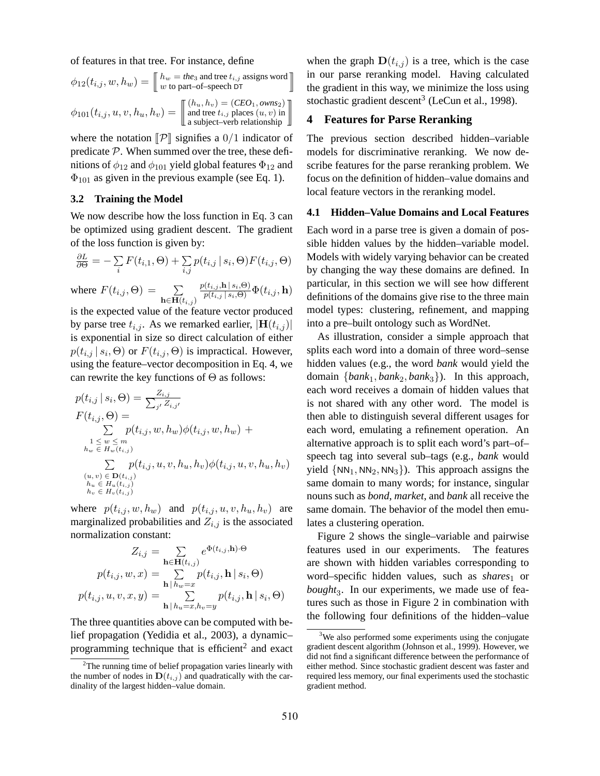of features in that tree. For instance, define

$$
\phi_{12}(t_{i,j}, w, h_w) = \n\begin{bmatrix}\n h_w = \text{the}_3 \text{ and tree } t_{i,j} \text{ assigns word} \\
w \text{ to part-of-speech DT}\n\end{bmatrix}
$$
\n
$$
\phi_{101}(t_{i,j}, u, v, h_u, h_v) = \n\begin{bmatrix}\n (h_u, h_v) = (CEO_1, \text{own } S_2) \\
\text{and tree } t_{i,j} \text{ places } (u, v) \text{ in } \\
\text{a subject–verb relationship}\n\end{bmatrix}
$$

where the notation  $\llbracket \mathcal{P} \rrbracket$  signifies a 0/1 indicator of predicate  $P$ . When summed over the tree, these definitions of  $\phi_{12}$  and  $\phi_{101}$  yield global features  $\Phi_{12}$  and  $\Phi_{101}$  as given in the previous example (see Eq. 1).

### **3.2 Training the Model**

We now describe how the loss function in Eq. 3 can be optimized using gradient descent. The gradient of the loss function is given by:

$$
\frac{\partial L}{\partial \Theta} = -\sum_{i} F(t_{i,1}, \Theta) + \sum_{i,j} p(t_{i,j} | s_i, \Theta) F(t_{i,j}, \Theta)
$$

where  $F(t_{i,j}, \Theta) = \sum$  $\mathbf{h} \in \mathbf{H}(t_{i,j})$  $\frac{p(t_{i,j}, \mathbf{h} \, | \, s_i, \Theta)}{p(t_{i,j} \, | \, s_i, \Theta)} \Phi(t_{i,j}, \mathbf{h})$ 

is the expected value of the feature vector produced by parse tree  $t_{i,j}$ . As we remarked earlier,  $|\mathbf{H}(t_{i,j})|$ is exponential in size so direct calculation of either  $p(t_{i,j} | s_i, \Theta)$  or  $F(t_{i,j}, \Theta)$  is impractical. However, using the feature–vector decomposition in Eq. 4, we can rewrite the key functions of  $\Theta$  as follows:

$$
p(t_{i,j} | s_i, \Theta) = \frac{Z_{i,j}}{\sum_{j'} Z_{i,j'}}\nF(t_{i,j}, \Theta) = \sum_{\substack{1 \le w \le m \\ h_w \in H_w(t_{i,j})}} p(t_{i,j}, w, h_w) \phi(t_{i,j}, w, h_w) + \n\sum_{\substack{1 \le w \le m \\ \sum_{k_w} p(t_{i,j}, u, v, h_u, h_v) \phi(t_{i,j}, u, v, h_u, h_v) \\ (u, v) \in \mathbf{D}(t_{i,j}) \\ h_w \in H_w(t_{i,j}) \\ h_v \in H_v(t_{i,j})}
$$

where  $p(t_{i,j}, w, h_w)$  and  $p(t_{i,j}, u, v, h_u, h_v)$  are marginalized probabilities and  $Z_{i,j}$  is the associated normalization constant:

$$
Z_{i,j} = \sum_{\mathbf{h} \in \mathbf{H}(t_{i,j})} e^{\Phi(t_{i,j}, \mathbf{h}) \cdot \Theta}
$$

$$
p(t_{i,j}, w, x) = \sum_{\mathbf{h} \mid h_w = x} p(t_{i,j}, \mathbf{h} \mid s_i, \Theta)
$$

$$
p(t_{i,j}, u, v, x, y) = \sum_{\mathbf{h} \mid h_u = x, h_v = y} p(t_{i,j}, \mathbf{h} \mid s_i, \Theta)
$$

The three quantities above can be computed with belief propagation (Yedidia et al., 2003), a dynamic– programming technique that is efficient<sup>2</sup> and exact

when the graph  $\mathbf{D}(t_{i,j})$  is a tree, which is the case in our parse reranking model. Having calculated the gradient in this way, we minimize the loss using stochastic gradient descent<sup>3</sup> (LeCun et al., 1998).

## **4 Features for Parse Reranking**

The previous section described hidden–variable models for discriminative reranking. We now describe features for the parse reranking problem. We focus on the definition of hidden–value domains and local feature vectors in the reranking model.

### **4.1 Hidden–Value Domains and Local Features**

Each word in a parse tree is given a domain of possible hidden values by the hidden–variable model. Models with widely varying behavior can be created by changing the way these domains are defined. In particular, in this section we will see how different definitions of the domains give rise to the three main model types: clustering, refinement, and mapping into a pre–built ontology such as WordNet.

As illustration, consider a simple approach that splits each word into a domain of three word–sense hidden values (e.g., the word *bank* would yield the domain {*bank*1, *bank*2, *bank*3}). In this approach, each word receives a domain of hidden values that is not shared with any other word. The model is then able to distinguish several different usages for each word, emulating a refinement operation. An alternative approach is to split each word's part–of– speech tag into several sub–tags (e.g., *bank* would yield  $\{NN_1, NN_2, NN_3\}$ . This approach assigns the same domain to many words; for instance, singular nouns such as *bond*, *market*, and *bank* all receive the same domain. The behavior of the model then emulates a clustering operation.

Figure 2 shows the single–variable and pairwise features used in our experiments. The features are shown with hidden variables corresponding to word–specific hidden values, such as *shares*<sup>1</sup> or bought<sub>3</sub>. In our experiments, we made use of features such as those in Figure 2 in combination with the following four definitions of the hidden–value

 $2$ The running time of belief propagation varies linearly with the number of nodes in  $\mathbf{D}(t_{i,j})$  and quadratically with the cardinality of the largest hidden–value domain.

<sup>&</sup>lt;sup>3</sup>We also performed some experiments using the conjugate gradient descent algorithm (Johnson et al., 1999). However, we did not find a significant difference between the performance of either method. Since stochastic gradient descent was faster and required less memory, our final experiments used the stochastic gradient method.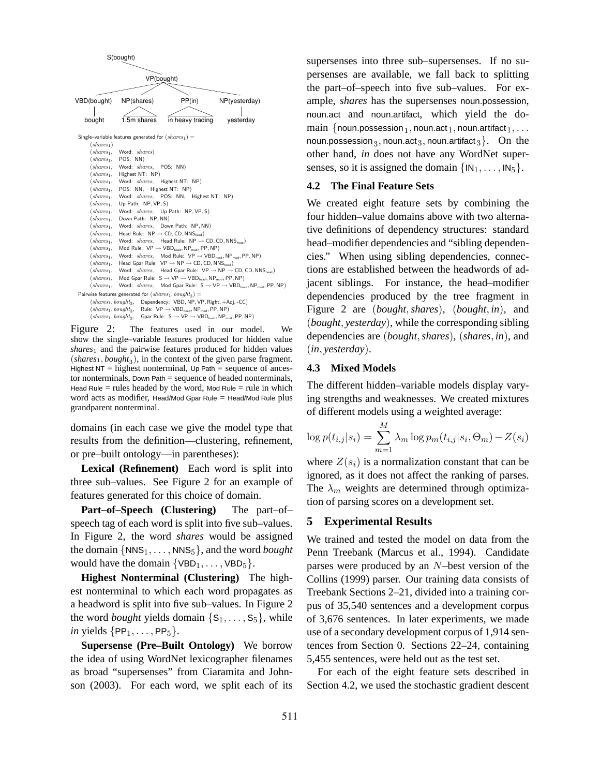

Figure 2: The features used in our model. We show the single–variable features produced for hidden value *shares*<sup>1</sup> and the pairwise features produced for hidden values  $(shares<sub>1</sub>, bought<sub>3</sub>)$ , in the context of the given parse fragment. Highest  $NT = highest nonterminal$ , Up Path = sequence of ancestor nonterminals, Down Path = sequence of headed nonterminals, Head Rule  $=$  rules headed by the word, Mod Rule  $=$  rule in which word acts as modifier, Head/Mod Gpar Rule = Head/Mod Rule plus grandparent nonterminal.

domains (in each case we give the model type that results from the definition—clustering, refinement, or pre–built ontology—in parentheses):

**Lexical (Refinement)** Each word is split into three sub–values. See Figure 2 for an example of features generated for this choice of domain.

**Part–of–Speech (Clustering)** The part–of– speech tag of each word is split into five sub–values. In Figure 2, the word *shares* would be assigned the domain  $\{NNS_1, \ldots, NNS_5\}$ , and the word *bought* would have the domain  $\{VBD_1, \ldots, VBD_5\}.$ 

**Highest Nonterminal (Clustering)** The highest nonterminal to which each word propagates as a headword is split into five sub–values. In Figure 2 the word *bought* yields domain  $\{S_1, \ldots, S_5\}$ , while *in* yields  $\{PP_1, \ldots, PP_5\}$ .

**Supersense (Pre–Built Ontology)** We borrow the idea of using WordNet lexicographer filenames as broad "supersenses" from Ciaramita and Johnson (2003). For each word, we split each of its

supersenses into three sub–supersenses. If no supersenses are available, we fall back to splitting the part–of–speech into five sub–values. For example, *shares* has the supersenses noun.possession, noun.act and noun.artifact, which yield the do- $\text{main } \{ \text{noun}. \text{possession}_1, \text{noun}. \text{act}_1, \text{noun}. \text{artifact}_1, \ldots$ noun.possession $_3,$  noun.act $_3,$  noun.artifact $_3\}.$   $\,$  On  $\,$  the  $\,$ other hand, *in* does not have any WordNet supersenses, so it is assigned the domain  $\{IN_1, \ldots, IN_5\}$ .

#### **4.2 The Final Feature Sets**

We created eight feature sets by combining the four hidden–value domains above with two alternative definitions of dependency structures: standard head–modifier dependencies and "sibling dependencies." When using sibling dependencies, connections are established between the headwords of adjacent siblings. For instance, the head–modifier dependencies produced by the tree fragment in Figure 2 are (*bought*,*shares*), (*bought*, *in*), and (*bought*, *yesterday*), while the corresponding sibling dependencies are (*bought*,*shares*), (*shares*, *in*), and (*in*, *yesterday*).

#### **4.3 Mixed Models**

The different hidden–variable models display varying strengths and weaknesses. We created mixtures of different models using a weighted average:

$$
\log p(t_{i,j}|s_i) = \sum_{m=1}^{M} \lambda_m \log p_m(t_{i,j}|s_i, \Theta_m) - Z(s_i)
$$

where  $Z(s_i)$  is a normalization constant that can be ignored, as it does not affect the ranking of parses. The  $\lambda_m$  weights are determined through optimization of parsing scores on a development set.

#### **5 Experimental Results**

We trained and tested the model on data from the Penn Treebank (Marcus et al., 1994). Candidate parses were produced by an N–best version of the Collins (1999) parser. Our training data consists of Treebank Sections 2–21, divided into a training corpus of 35,540 sentences and a development corpus of 3,676 sentences. In later experiments, we made use of a secondary development corpus of 1,914 sentences from Section 0. Sections 22–24, containing 5,455 sentences, were held out as the test set.

For each of the eight feature sets described in Section 4.2, we used the stochastic gradient descent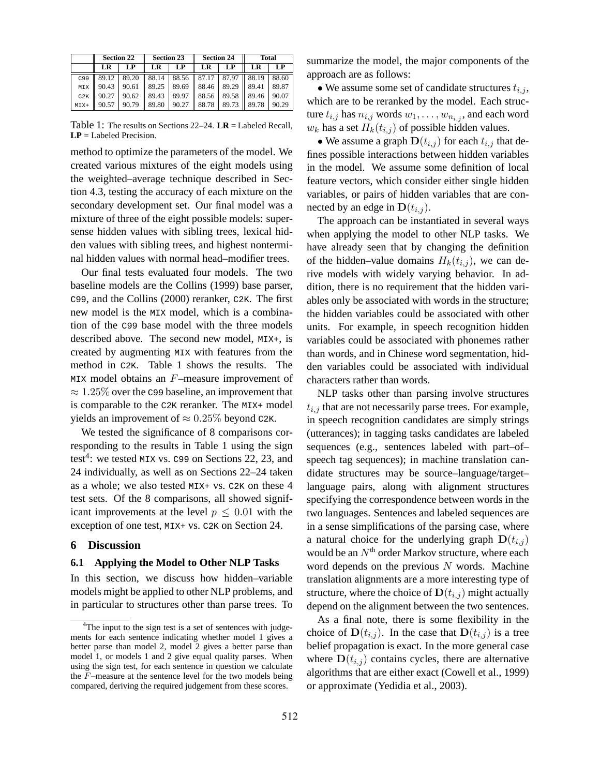|        | <b>Section 22</b> |       | <b>Section 23</b> |         | <b>Section 24</b> |                                                                        | <b>Total</b> |       |
|--------|-------------------|-------|-------------------|---------|-------------------|------------------------------------------------------------------------|--------------|-------|
|        | LR                | LP    | <b>LR</b>         | LP      | LR                | LP                                                                     | LR           | LP    |
| C99    |                   |       |                   |         |                   | $89.12$   $89.20$    $88.14$   $88.56$    $87.17$   $87.97$    $88.19$ |              | 88.60 |
| MIX    | 90.43             |       |                   |         |                   | $90.61$   89.25   89.69   88.46   89.29   89.41                        |              | 89.87 |
| C2K    | 90.27             | 90.62 | 89.43             | $89.97$ | 88.56             | 89.58                                                                  | 89.46        | 90.07 |
| $MIX+$ | 90.57             | 90.79 | 89.80             |         | $90.27$ 88.78     | 89.73                                                                  | 89.78        | 90.29 |

Table 1: The results on Sections 22–24. **LR** = Labeled Recall, **LP** = Labeled Precision.

method to optimize the parameters of the model. We created various mixtures of the eight models using the weighted–average technique described in Section 4.3, testing the accuracy of each mixture on the secondary development set. Our final model was a mixture of three of the eight possible models: supersense hidden values with sibling trees, lexical hidden values with sibling trees, and highest nonterminal hidden values with normal head–modifier trees.

Our final tests evaluated four models. The two baseline models are the Collins (1999) base parser, C99, and the Collins (2000) reranker, C2K. The first new model is the MIX model, which is a combination of the C99 base model with the three models described above. The second new model, MIX+, is created by augmenting MIX with features from the method in C2K. Table 1 shows the results. The MIX model obtains an F–measure improvement of  $\approx 1.25\%$  over the C99 baseline, an improvement that is comparable to the C2K reranker. The MIX+ model yields an improvement of  $\approx 0.25\%$  beyond C2K.

We tested the significance of 8 comparisons corresponding to the results in Table 1 using the sign test<sup>4</sup>: we tested  $MIX$  vs.  $C99$  on Sections 22, 23, and 24 individually, as well as on Sections 22–24 taken as a whole; we also tested MIX+ vs. C2K on these 4 test sets. Of the 8 comparisons, all showed significant improvements at the level  $p \leq 0.01$  with the exception of one test, MIX+ vs. C2K on Section 24.

### **6 Discussion**

### **6.1 Applying the Model to Other NLP Tasks**

In this section, we discuss how hidden–variable models might be applied to other NLP problems, and in particular to structures other than parse trees. To summarize the model, the major components of the approach are as follows:

• We assume some set of candidate structures  $t_{i,j}$ , which are to be reranked by the model. Each structure  $t_{i,j}$  has  $n_{i,j}$  words  $w_1, \ldots, w_{n_{i,j}}$ , and each word  $w_k$  has a set  $H_k(t_{i,j})$  of possible hidden values.

• We assume a graph  $\mathbf{D}(t_{i,j})$  for each  $t_{i,j}$  that defines possible interactions between hidden variables in the model. We assume some definition of local feature vectors, which consider either single hidden variables, or pairs of hidden variables that are connected by an edge in  $\mathbf{D}(t_{i,j})$ .

The approach can be instantiated in several ways when applying the model to other NLP tasks. We have already seen that by changing the definition of the hidden–value domains  $H_k(t_{i,j})$ , we can derive models with widely varying behavior. In addition, there is no requirement that the hidden variables only be associated with words in the structure; the hidden variables could be associated with other units. For example, in speech recognition hidden variables could be associated with phonemes rather than words, and in Chinese word segmentation, hidden variables could be associated with individual characters rather than words.

NLP tasks other than parsing involve structures  $t_{i,j}$  that are not necessarily parse trees. For example, in speech recognition candidates are simply strings (utterances); in tagging tasks candidates are labeled sequences (e.g., sentences labeled with part–of– speech tag sequences); in machine translation candidate structures may be source–language/target– language pairs, along with alignment structures specifying the correspondence between words in the two languages. Sentences and labeled sequences are in a sense simplifications of the parsing case, where a natural choice for the underlying graph  $D(t_{i,j})$ would be an  $N^{\text{th}}$  order Markov structure, where each word depends on the previous  $N$  words. Machine translation alignments are a more interesting type of structure, where the choice of  $\mathbf{D}(t_{i,j})$  might actually depend on the alignment between the two sentences.

As a final note, there is some flexibility in the choice of  $\mathbf{D}(t_{i,j})$ . In the case that  $\mathbf{D}(t_{i,j})$  is a tree belief propagation is exact. In the more general case where  $\mathbf{D}(t_{i,j})$  contains cycles, there are alternative algorithms that are either exact (Cowell et al., 1999) or approximate (Yedidia et al., 2003).

<sup>&</sup>lt;sup>4</sup>The input to the sign test is a set of sentences with judgements for each sentence indicating whether model 1 gives a better parse than model 2, model 2 gives a better parse than model 1, or models 1 and 2 give equal quality parses. When using the sign test, for each sentence in question we calculate the F–measure at the sentence level for the two models being compared, deriving the required judgement from these scores.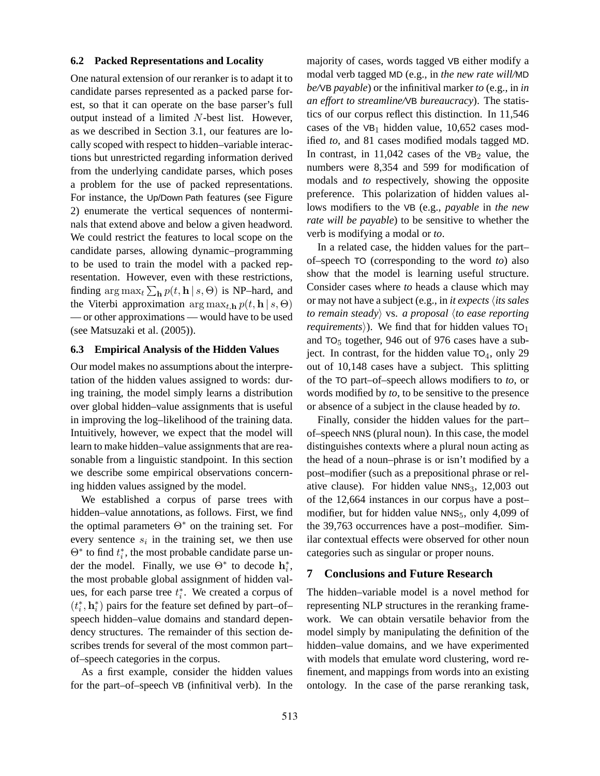#### **6.2 Packed Representations and Locality**

One natural extension of our reranker is to adapt it to candidate parses represented as a packed parse forest, so that it can operate on the base parser's full output instead of a limited N-best list. However, as we described in Section 3.1, our features are locally scoped with respect to hidden–variable interactions but unrestricted regarding information derived from the underlying candidate parses, which poses a problem for the use of packed representations. For instance, the Up/Down Path features (see Figure 2) enumerate the vertical sequences of nonterminals that extend above and below a given headword. We could restrict the features to local scope on the candidate parses, allowing dynamic–programming to be used to train the model with a packed representation. However, even with these restrictions, finding  $\arg \max_t \sum_{\mathbf{h}} p(t, \mathbf{h} | s, \Theta)$  is NP–hard, and the Viterbi approximation  $\arg \max_{t, \mathbf{h}} p(t, \mathbf{h} | s, \Theta)$ — or other approximations — would have to be used (see Matsuzaki et al. (2005)).

#### **6.3 Empirical Analysis of the Hidden Values**

Our model makes no assumptions about the interpretation of the hidden values assigned to words: during training, the model simply learns a distribution over global hidden–value assignments that is useful in improving the log–likelihood of the training data. Intuitively, however, we expect that the model will learn to make hidden–value assignments that are reasonable from a linguistic standpoint. In this section we describe some empirical observations concerning hidden values assigned by the model.

We established a corpus of parse trees with hidden–value annotations, as follows. First, we find the optimal parameters  $\Theta^*$  on the training set. For every sentence  $s_i$  in the training set, we then use  $\Theta^*$  to find  $t_i^*$ , the most probable candidate parse under the model. Finally, we use  $\Theta^*$  to decode  $\mathbf{h}_i^*$ , the most probable global assignment of hidden values, for each parse tree  $t_i^*$ . We created a corpus of  $(t_{i}^{\ast}, \mathbf{h}_{i}^{\ast})$  pairs for the feature set defined by part–of– speech hidden–value domains and standard dependency structures. The remainder of this section describes trends for several of the most common part– of–speech categories in the corpus.

As a first example, consider the hidden values for the part–of–speech VB (infinitival verb). In the majority of cases, words tagged VB either modify a modal verb tagged MD (e.g., in *the new rate will/*MD *be/*VB *payable*) or the infinitival marker *to* (e.g., in *in an effort to streamline/*VB *bureaucracy*). The statistics of our corpus reflect this distinction. In 11,546 cases of the  $VB_1$  hidden value, 10,652 cases modified *to*, and 81 cases modified modals tagged MD. In contrast, in  $11,042$  cases of the VB<sub>2</sub> value, the numbers were 8,354 and 599 for modification of modals and *to* respectively, showing the opposite preference. This polarization of hidden values allows modifiers to the VB (e.g., *payable* in *the new rate will be payable*) to be sensitive to whether the verb is modifying a modal or *to*.

In a related case, the hidden values for the part– of–speech TO (corresponding to the word *to*) also show that the model is learning useful structure. Consider cases where *to* heads a clause which may or may not have a subject (e.g., in *it expects* h*its sales to remain steady* vs. *a proposal (to ease reporting requirements*). We find that for hidden values  $TO_1$ and  $TO<sub>5</sub>$  together, 946 out of 976 cases have a subject. In contrast, for the hidden value  $TO_4$ , only 29 out of 10,148 cases have a subject. This splitting of the TO part–of–speech allows modifiers to *to*, or words modified by *to*, to be sensitive to the presence or absence of a subject in the clause headed by *to*.

Finally, consider the hidden values for the part– of–speech NNS (plural noun). In this case, the model distinguishes contexts where a plural noun acting as the head of a noun–phrase is or isn't modified by a post–modifier (such as a prepositional phrase or relative clause). For hidden value  $NNS<sub>3</sub>$ , 12,003 out of the 12,664 instances in our corpus have a post– modifier, but for hidden value NNS<sub>5</sub>, only 4,099 of the 39,763 occurrences have a post–modifier. Similar contextual effects were observed for other noun categories such as singular or proper nouns.

#### **7 Conclusions and Future Research**

The hidden–variable model is a novel method for representing NLP structures in the reranking framework. We can obtain versatile behavior from the model simply by manipulating the definition of the hidden–value domains, and we have experimented with models that emulate word clustering, word refinement, and mappings from words into an existing ontology. In the case of the parse reranking task,